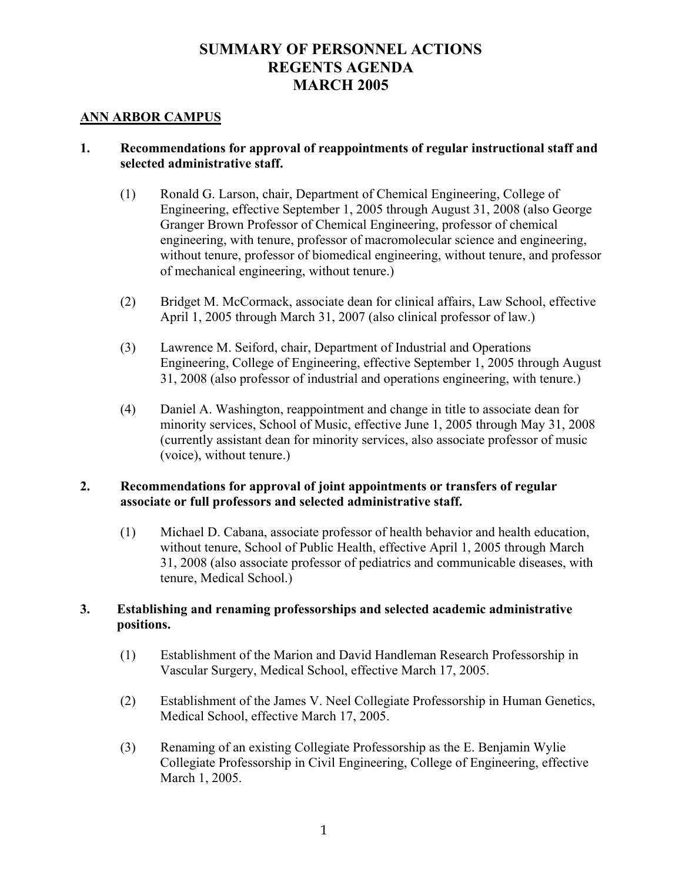# **SUMMARY OF PERSONNEL ACTIONS REGENTS AGENDA MARCH 2005**

## **ANN ARBOR CAMPUS**

## **1. Recommendations for approval of reappointments of regular instructional staff and selected administrative staff.**

- (1) Ronald G. Larson, chair, Department of Chemical Engineering, College of Engineering, effective September 1, 2005 through August 31, 2008 (also George Granger Brown Professor of Chemical Engineering, professor of chemical engineering, with tenure, professor of macromolecular science and engineering, without tenure, professor of biomedical engineering, without tenure, and professor of mechanical engineering, without tenure.)
- (2) Bridget M. McCormack, associate dean for clinical affairs, Law School, effective April 1, 2005 through March 31, 2007 (also clinical professor of law.)
- (3) Lawrence M. Seiford, chair, Department of Industrial and Operations Engineering, College of Engineering, effective September 1, 2005 through August 31, 2008 (also professor of industrial and operations engineering, with tenure.)
- (4) Daniel A. Washington, reappointment and change in title to associate dean for minority services, School of Music, effective June 1, 2005 through May 31, 2008 (currently assistant dean for minority services, also associate professor of music (voice), without tenure.)

# **2. Recommendations for approval of joint appointments or transfers of regular associate or full professors and selected administrative staff.**

(1) Michael D. Cabana, associate professor of health behavior and health education, without tenure, School of Public Health, effective April 1, 2005 through March 31, 2008 (also associate professor of pediatrics and communicable diseases, with tenure, Medical School.)

# **3. Establishing and renaming professorships and selected academic administrative positions.**

- (1) Establishment of the Marion and David Handleman Research Professorship in Vascular Surgery, Medical School, effective March 17, 2005.
- (2) Establishment of the James V. Neel Collegiate Professorship in Human Genetics, Medical School, effective March 17, 2005.
- (3) Renaming of an existing Collegiate Professorship as the E. Benjamin Wylie Collegiate Professorship in Civil Engineering, College of Engineering, effective March 1, 2005.